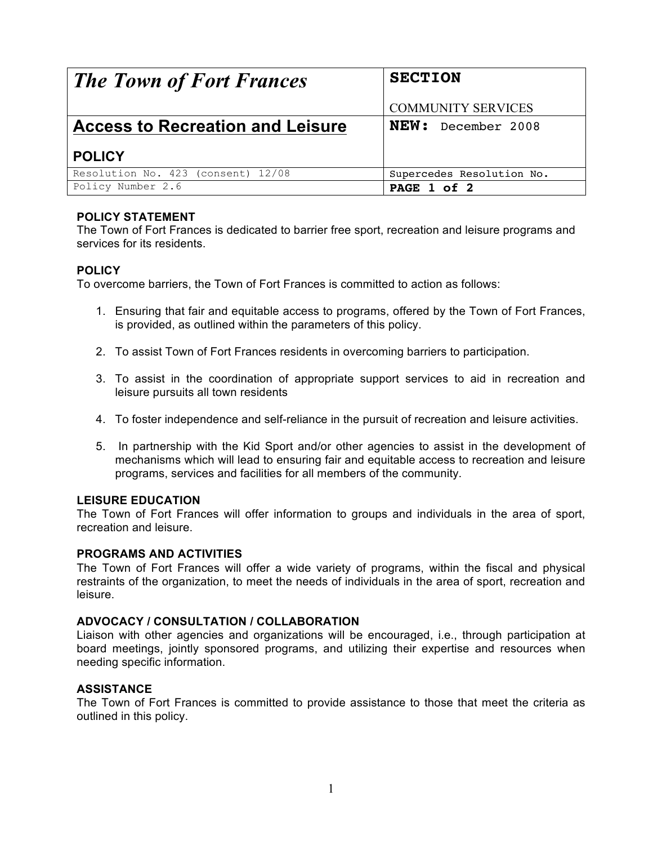| <b>The Town of Fort Frances</b>         | <b>SECTION</b>            |
|-----------------------------------------|---------------------------|
|                                         | <b>COMMUNITY SERVICES</b> |
| <b>Access to Recreation and Leisure</b> | NEW: December 2008        |
| <b>POLICY</b>                           |                           |
| Resolution No. 423 (consent) 12/08      | Supercedes Resolution No. |
| Policy Number 2.6                       | PAGE 1 of 2               |

# **POLICY STATEMENT**

The Town of Fort Frances is dedicated to barrier free sport, recreation and leisure programs and services for its residents.

### **POLICY**

To overcome barriers, the Town of Fort Frances is committed to action as follows:

- 1. Ensuring that fair and equitable access to programs, offered by the Town of Fort Frances, is provided, as outlined within the parameters of this policy.
- 2. To assist Town of Fort Frances residents in overcoming barriers to participation.
- 3. To assist in the coordination of appropriate support services to aid in recreation and leisure pursuits all town residents
- 4. To foster independence and self-reliance in the pursuit of recreation and leisure activities.
- 5. In partnership with the Kid Sport and/or other agencies to assist in the development of mechanisms which will lead to ensuring fair and equitable access to recreation and leisure programs, services and facilities for all members of the community.

#### **LEISURE EDUCATION**

The Town of Fort Frances will offer information to groups and individuals in the area of sport, recreation and leisure.

#### **PROGRAMS AND ACTIVITIES**

The Town of Fort Frances will offer a wide variety of programs, within the fiscal and physical restraints of the organization, to meet the needs of individuals in the area of sport, recreation and leisure.

#### **ADVOCACY / CONSULTATION / COLLABORATION**

Liaison with other agencies and organizations will be encouraged, i.e., through participation at board meetings, jointly sponsored programs, and utilizing their expertise and resources when needing specific information.

#### **ASSISTANCE**

The Town of Fort Frances is committed to provide assistance to those that meet the criteria as outlined in this policy.